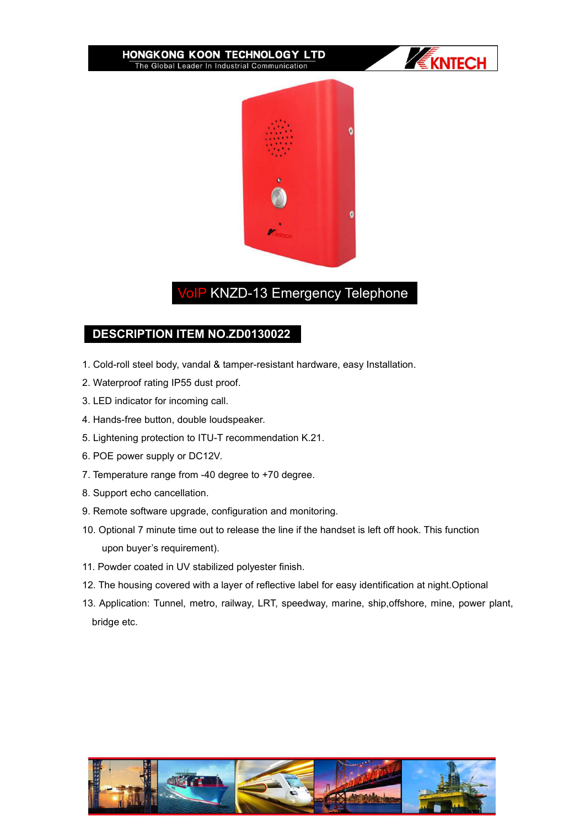#### HONGKONG KOON TECHNOLOGY LTD The Global Leader In Industrial Communication





# VoIP KNZD-13 Emergency Telephone

## **DESCRIPTION ITEM NO.ZD0130022**

- 1. Cold-roll steel body, vandal & tamper-resistant hardware, easy Installation.
- 2. Waterproof rating IP55 dust proof.
- 3. LED indicator for incoming call.
- 4. Hands-free button, double loudspeaker.
- 5. Lightening protection to ITU-T recommendation K.21.
- 6. POE power supply or DC12V.
- 7. Temperature range from -40 degree to +70 degree.
- 8. Support echo cancellation.
- 
- 9. Remote software upgrade, configuration and monitoring.<br>10. Optional 7 minute time out to release the line if the handset is left off hook. This function upon buyer's requirement).
- 11. Powder coated in UV stabilized polyester finish.
- 12. The housing covered with a layer of reflective label for easy identification at night.Optional
- 13. Application: Tunnel, metro, railway, LRT, speedway, marine, ship,offshore, mine, power plant, bridge etc.